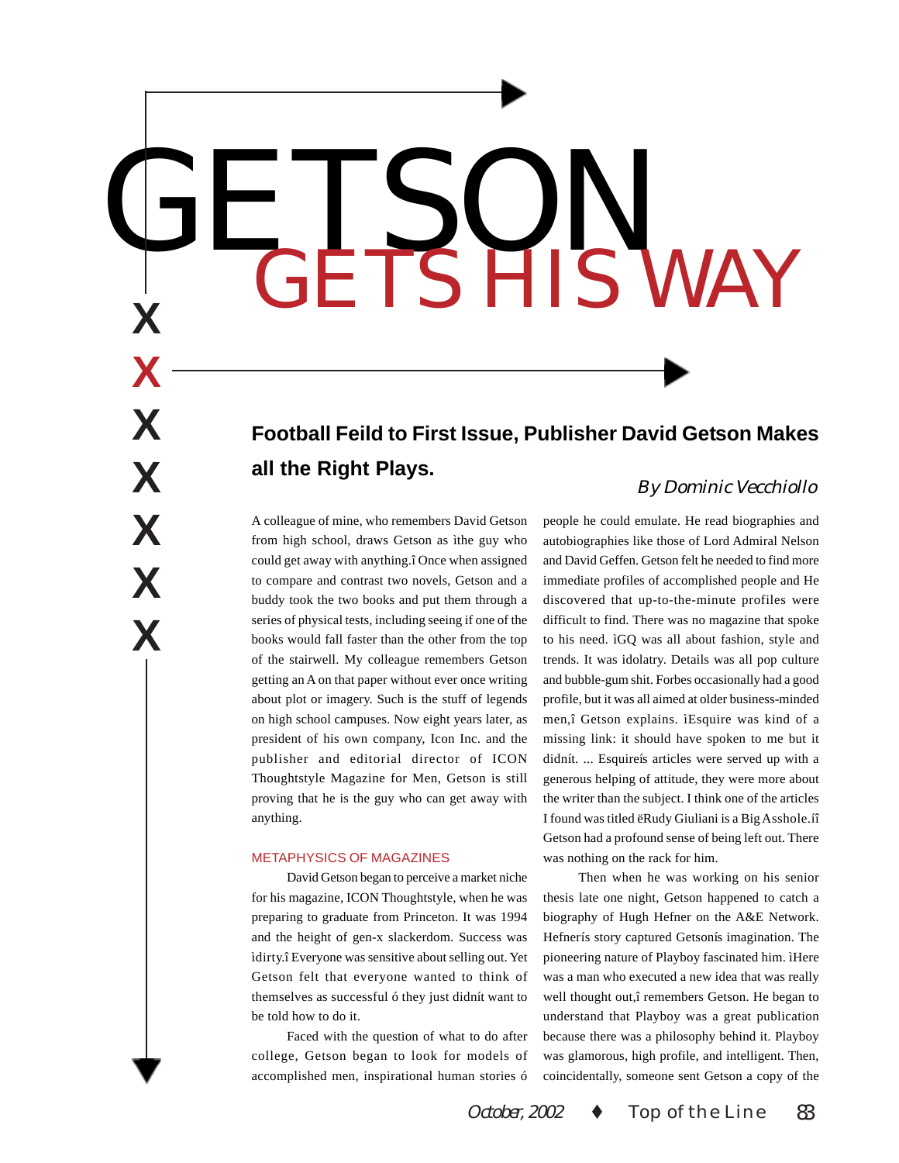# GETSON **<sup>X</sup>** GETS HIS WAY

# **Football Feild to First Issue, Publisher David Getson Makes all the Right Plays.**

A colleague of mine, who remembers David Getson from high school, draws Getson as ìthe guy who could get away with anything.î Once when assigned to compare and contrast two novels, Getson and a buddy took the two books and put them through a series of physical tests, including seeing if one of the books would fall faster than the other from the top of the stairwell. My colleague remembers Getson getting an A on that paper without ever once writing about plot or imagery. Such is the stuff of legends on high school campuses. Now eight years later, as president of his own company, Icon Inc. and the publisher and editorial director of ICON Thoughtstyle Magazine for Men, Getson is still proving that he is the guy who can get away with anything.

### METAPHYSICS OF MAGAZINES

**X**

**X**

**X**

**X**

**X**

**X**

David Getson began to perceive a market niche for his magazine, ICON Thoughtstyle, when he was preparing to graduate from Princeton. It was 1994 and the height of gen-x slackerdom. Success was ìdirty.î Everyone was sensitive about selling out. Yet Getson felt that everyone wanted to think of themselves as successful ó they just didnít want to be told how to do it.

Faced with the question of what to do after college, Getson began to look for models of accomplished men, inspirational human stories ó

# By Dominic Vecchiollo

people he could emulate. He read biographies and autobiographies like those of Lord Admiral Nelson and David Geffen. Getson felt he needed to find more immediate profiles of accomplished people and He discovered that up-to-the-minute profiles were difficult to find. There was no magazine that spoke to his need. ìGQ was all about fashion, style and trends. It was idolatry. Details was all pop culture and bubble-gum shit. Forbes occasionally had a good profile, but it was all aimed at older business-minded men,î Getson explains. ìEsquire was kind of a missing link: it should have spoken to me but it didnít. ... Esquireís articles were served up with a generous helping of attitude, they were more about the writer than the subject. I think one of the articles I found was titled ëRudy Giuliani is a Big Asshole.íî Getson had a profound sense of being left out. There was nothing on the rack for him.

Then when he was working on his senior thesis late one night, Getson happened to catch a biography of Hugh Hefner on the A&E Network. Hefnerís story captured Getsonís imagination. The pioneering nature of Playboy fascinated him. ìHere was a man who executed a new idea that was really well thought out,î remembers Getson. He began to understand that Playboy was a great publication because there was a philosophy behind it. Playboy was glamorous, high profile, and intelligent. Then, coincidentally, someone sent Getson a copy of the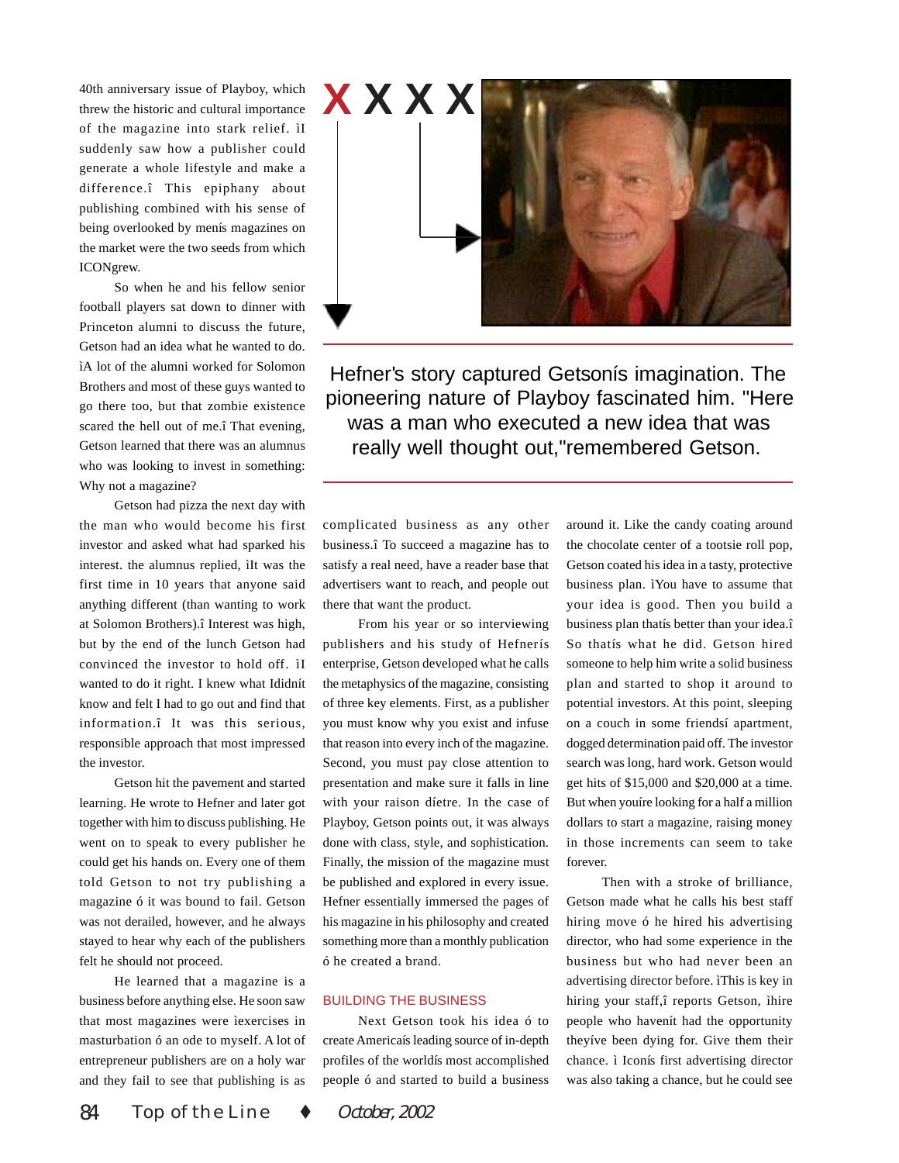40th anniversary issue of Playboy, which threw the historic and cultural importance of the magazine into stark relief. ìI suddenly saw how a publisher could generate a whole lifestyle and make a difference.î This epiphany about publishing combined with his sense of being overlooked by menís magazines on the market were the two seeds from which ICONgrew.

So when he and his fellow senior football players sat down to dinner with Princeton alumni to discuss the future, Getson had an idea what he wanted to do. ìA lot of the alumni worked for Solomon Brothers and most of these guys wanted to go there too, but that zombie existence scared the hell out of me.î That evening, Getson learned that there was an alumnus who was looking to invest in something: Why not a magazine?

Getson had pizza the next day with the man who would become his first investor and asked what had sparked his interest. the alumnus replied, ìIt was the first time in 10 years that anyone said anything different (than wanting to work at Solomon Brothers).î Interest was high, but by the end of the lunch Getson had convinced the investor to hold off. ìI wanted to do it right. I knew what Ididnít know and felt I had to go out and find that information.î It was this serious, responsible approach that most impressed the investor.

Getson hit the pavement and started learning. He wrote to Hefner and later got together with him to discuss publishing. He went on to speak to every publisher he could get his hands on. Every one of them told Getson to not try publishing a magazine ó it was bound to fail. Getson was not derailed, however, and he always stayed to hear why each of the publishers felt he should not proceed.

He learned that a magazine is a business before anything else. He soon saw that most magazines were ìexercises in masturbation ó an ode to myself. A lot of entrepreneur publishers are on a holy war and they fail to see that publishing is as



Hefner's story captured Getsonís imagination. The pioneering nature of Playboy fascinated him. "Here was a man who executed a new idea that was really well thought out,"remembered Getson.

complicated business as any other business.î To succeed a magazine has to satisfy a real need, have a reader base that advertisers want to reach, and people out there that want the product.

From his year or so interviewing publishers and his study of Hefnerís enterprise, Getson developed what he calls the metaphysics of the magazine, consisting of three key elements. First, as a publisher you must know why you exist and infuse that reason into every inch of the magazine. Second, you must pay close attention to presentation and make sure it falls in line with your raison díetre. In the case of Playboy, Getson points out, it was always done with class, style, and sophistication. Finally, the mission of the magazine must be published and explored in every issue. Hefner essentially immersed the pages of his magazine in his philosophy and created something more than a monthly publication ó he created a brand.

## BUILDING THE BUSINESS

Next Getson took his idea ó to create Americaís leading source of in-depth profiles of the worldís most accomplished people ó and started to build a business

around it. Like the candy coating around the chocolate center of a tootsie roll pop, Getson coated his idea in a tasty, protective business plan. ìYou have to assume that your idea is good. Then you build a business plan thatís better than your idea.î So thatís what he did. Getson hired someone to help him write a solid business plan and started to shop it around to potential investors. At this point, sleeping on a couch in some friendsí apartment, dogged determination paid off. The investor search was long, hard work. Getson would get hits of \$15,000 and \$20,000 at a time. But when youíre looking for a half a million dollars to start a magazine, raising money in those increments can seem to take forever.

Then with a stroke of brilliance, Getson made what he calls his best staff hiring move ó he hired his advertising director, who had some experience in the business but who had never been an advertising director before. ìThis is key in hiring your staff,î reports Getson, ìhire people who havenít had the opportunity theyíve been dying for. Give them their chance. ì Iconís first advertising director was also taking a chance, but he could see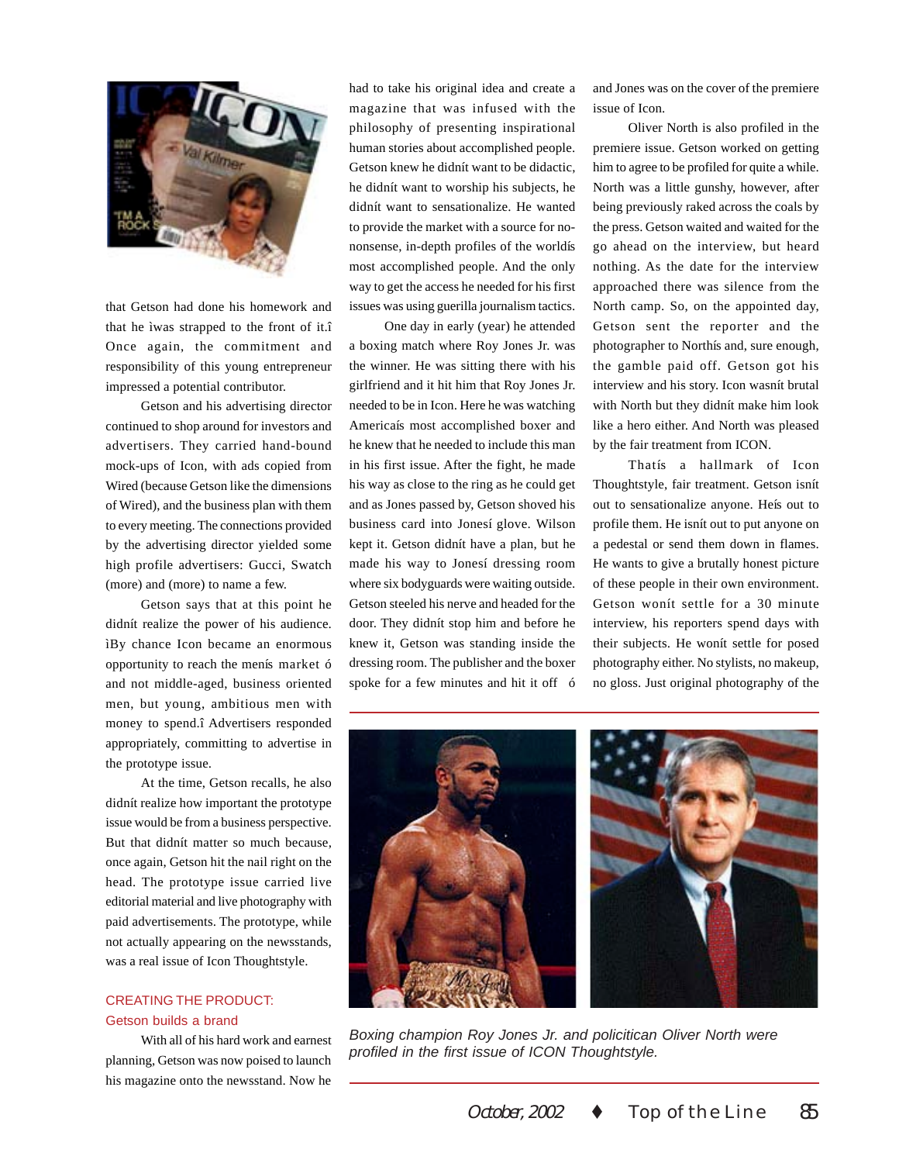

that Getson had done his homework and that he ìwas strapped to the front of it.î Once again, the commitment and responsibility of this young entrepreneur impressed a potential contributor.

Getson and his advertising director continued to shop around for investors and advertisers. They carried hand-bound mock-ups of Icon, with ads copied from Wired (because Getson like the dimensions of Wired), and the business plan with them to every meeting. The connections provided by the advertising director yielded some high profile advertisers: Gucci, Swatch (more) and (more) to name a few.

Getson says that at this point he didnít realize the power of his audience. ìBy chance Icon became an enormous opportunity to reach the menís market ó and not middle-aged, business oriented men, but young, ambitious men with money to spend.î Advertisers responded appropriately, committing to advertise in the prototype issue.

At the time, Getson recalls, he also didnít realize how important the prototype issue would be from a business perspective. But that didnít matter so much because, once again, Getson hit the nail right on the head. The prototype issue carried live editorial material and live photography with paid advertisements. The prototype, while not actually appearing on the newsstands, was a real issue of Icon Thoughtstyle.

# CREATING THE PRODUCT: Getson builds a brand

With all of his hard work and earnest planning, Getson was now poised to launch his magazine onto the newsstand. Now he

had to take his original idea and create a magazine that was infused with the philosophy of presenting inspirational human stories about accomplished people. Getson knew he didnít want to be didactic, he didnít want to worship his subjects, he didnít want to sensationalize. He wanted to provide the market with a source for nononsense, in-depth profiles of the worldís most accomplished people. And the only way to get the access he needed for his first issues was using guerilla journalism tactics.

One day in early (year) he attended a boxing match where Roy Jones Jr. was the winner. He was sitting there with his girlfriend and it hit him that Roy Jones Jr. needed to be in Icon. Here he was watching Americaís most accomplished boxer and he knew that he needed to include this man in his first issue. After the fight, he made his way as close to the ring as he could get and as Jones passed by, Getson shoved his business card into Jonesí glove. Wilson kept it. Getson didnít have a plan, but he made his way to Jonesí dressing room where six bodyguards were waiting outside. Getson steeled his nerve and headed for the door. They didnít stop him and before he knew it, Getson was standing inside the dressing room. The publisher and the boxer spoke for a few minutes and hit it off ó and Jones was on the cover of the premiere issue of Icon.

Oliver North is also profiled in the premiere issue. Getson worked on getting him to agree to be profiled for quite a while. North was a little gunshy, however, after being previously raked across the coals by the press. Getson waited and waited for the go ahead on the interview, but heard nothing. As the date for the interview approached there was silence from the North camp. So, on the appointed day, Getson sent the reporter and the photographer to Northís and, sure enough, the gamble paid off. Getson got his interview and his story. Icon wasnít brutal with North but they didnít make him look like a hero either. And North was pleased by the fair treatment from ICON.

Thatís a hallmark of Icon Thoughtstyle, fair treatment. Getson isnít out to sensationalize anyone. Heís out to profile them. He isnít out to put anyone on a pedestal or send them down in flames. He wants to give a brutally honest picture of these people in their own environment. Getson wonít settle for a 30 minute interview, his reporters spend days with their subjects. He wonít settle for posed photography either. No stylists, no makeup, no gloss. Just original photography of the



*Boxing champion Roy Jones Jr. and policitican Oliver North were profiled in the first issue of ICON Thoughtstyle.*